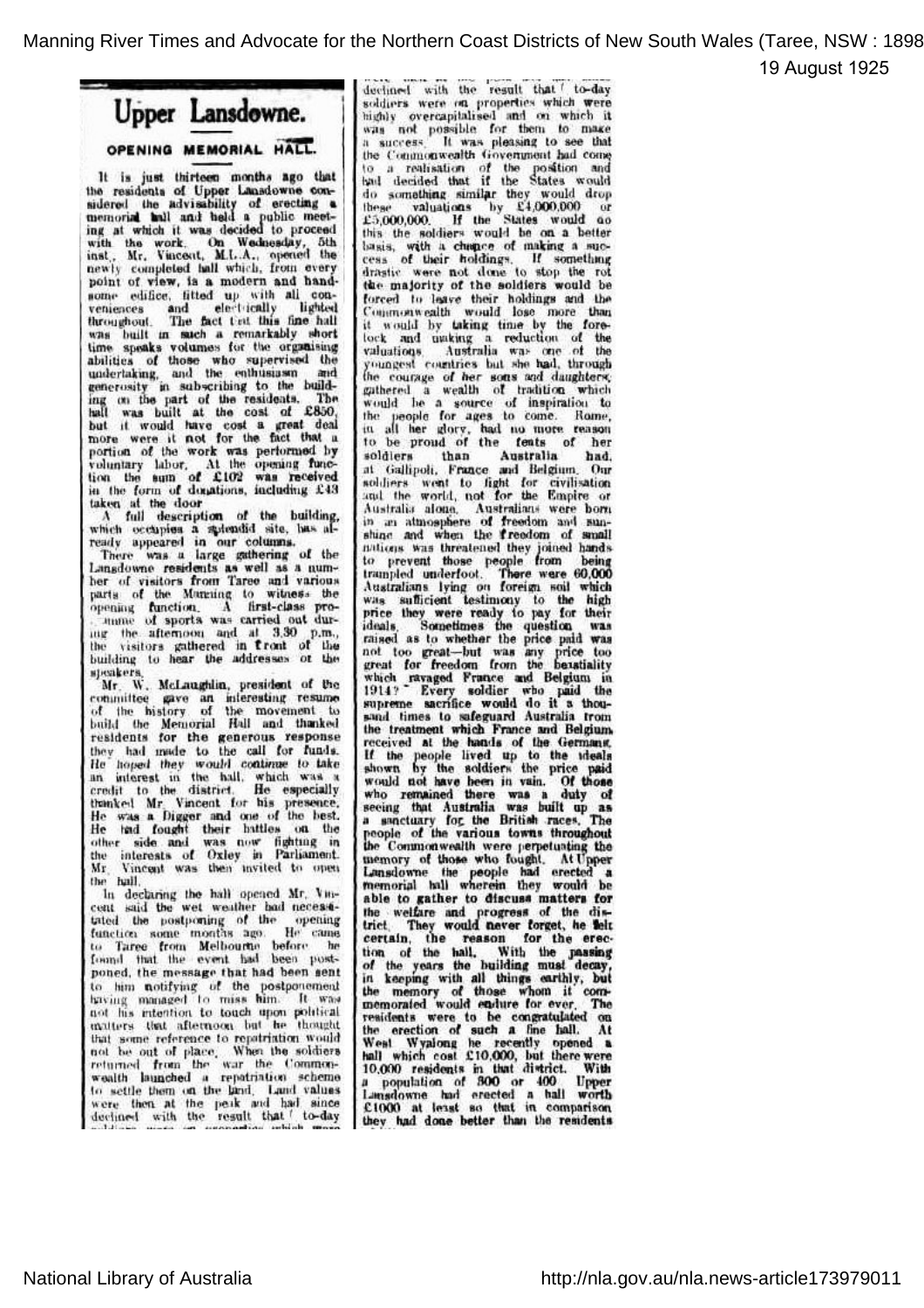19 August 1925



It is just thirteen months hgo that the residents of Upper Lansdowne considered the advisability of erecting a memorial hall and held a public meet-<br>ing at which it was decided to proceed inst., Mr., Vincent, M.L.A., opened the newly completed hall which, from every point of view, is a modern and handsome edifice, fitted up with all con<br>veniences and electrically lighted throughout. The fact that this fine hal was built in such a remarkably short time speaks volumes for the organising abilities of those who supervised the undertaking, and the enthusiasm and generosity in subscribing to the build ing on the part of the residents. The hall was built at the cost of £850. but it would have cost <sup>a</sup> great deal more were it pot for the fact that <sup>a</sup> portion of the work was performed by voluntary labor. At the openiug func tion the sum of £102 was received<br>in the form of donations, including £43<br>taken at the door

A full description of the building,<br>which occupies a spiendid site, has already appeared in our columns.<br>There was a large gathering of the

Lansdowne residents as well as a num ber of visitors from Taree and various parts of the Manning to witness the opening function. A first-class pro mame of sports was carried out du ing the afternoon and at 3.30 p.m., the visitors gathered in front of the building to hear the addresses or the speakers,

Mr. W. McLaughlin, president of the committee gave an interesting resume of tlie history of the movement to build the Memorial Hall and thanked residents for the generous response<br>they had made to the call for funds He hoped they would continue to take an interest in the hall, which was <sup>a</sup> credit to the district. He especially thanked Mr. Vincent for his presence. He was a Digger and one of the best.<br>He had fought their battles on the other side and was now fighting in the interests of Oxley in Parliament. Mr. Vincent was then invited to open

hi declaring the hall opened Mr. Vin In declaring the hall opened Mr. Vincent said the wet weather bad necessitated the postponing of the opening function some months ago. He came to Taree from Melbourne before he<br>found that the event had been postponed, the message that had been sent to him notifying of the postponement having managed to miss him. It was not his intention to touch upon political matters that afternoon but he thought that some reference to repatriation would not be out of place. When the soldiers returned from the war the Comm wealth launched <sup>a</sup> repatriation scheme to settle them on the land. Land values were then at the peak and had since<br>declined with the result that f to-day

declined with the result that f to-day soldiers were on properties which were highly overcapitalised and on which it was not possible for them to max a success. It was pleasing to see that a success. It was pleasing to see that the Commonwealth Government had come to a realisation of the position and<br>had decided that if the States would do something similar they would drop these valuations by £4,000,000 or<br>£5,000,000. If the States would ao £5,000,000. If the States would ac<br>this the soldiers would be on a better basis, with <sup>a</sup> chhfrce of making <sup>a</sup> suc cess of their holdings. If something drastic were not done to stop the rot the majority of the soldiers would be forced to leave their holdings and the Commonwealth would lose more than it would by taking time by the fore lock and making a reduction of the<br>valuations. Australia was one of the<br>youngest countries but she had, through the courage of her sons and daughters<br>gathered a wealth of tradition which would be <sup>a</sup> source of inspiration to ihc people for ages to come. Rome, in all her glory, had no more reason to be proud of the feats of he soldiers than Australia had, soldiers than Australia had, soldiers wont to fight for civilisation and the world, not for the Empire or Australia alone. Australians were bom in an atmosphere of freedom and sunshine and when the freedom of small nations was threatened they joined hands to prevent those people from being trampled underfoot. There were 60,000 Australians lying on foreign soil which was sufficient testimony to the high price they were ready to pay for their<br>ideals. Sometimes the question was ideals. Sometimes the question was raised as to whether the price paid was not too great— but was any price too great for freedom from the hexstiality which ravaged France and Belgium in<br>1914? Every soldier who paid the supreme sacrifice would do it a thou sand times to safeguard Australia from the treatment which France and Belgium,<br>received at the hands of the Germans. received at the hands of the Germans If the people lived up to the ideals<br>shown by the soldiers the price paid would not have been in vain. Of those who remained there was <sup>a</sup> duty of seeing thgt "Australia was built up as <sup>a</sup> sanctuary fop the British .races. The people of the various towns throughout the Commonwealth were perpetuating the memory of those who fought. At Upper Lansdowne the people had erected a<br>memorial hall wherein they would be able to gather to discuss matters for the weifare and progress of the dis-<br>trict - They would never forget, he felt They would never forget, he felt certain, the reason for the ere tion of the hall. With the passing of the years the building must decay,<br>in keeping with all things earthly, but<br>the memory of those whom it comtnemorafed would eadure for ever. The residents were to be congratulated o the erection of such a fine hall. At West Wyplong he recently opened a hall which cost  $£10,000$ , but there we 10,000 residents in that district. With <sup>a</sup> population of 300 or 400 Upper Lansdowne had erected <sup>a</sup> hall worth £1000 at least so that in comparison. they had done better than the residents